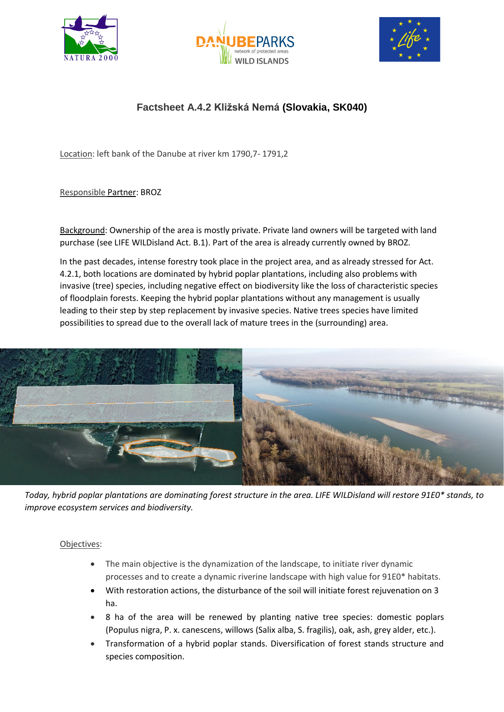





## **Factsheet A.4.2 Kližská Nemá (Slovakia, SK040)**

Location: left bank of the Danube at river km 1790,7- 1791,2

## Responsible Partner: BROZ

Background: Ownership of the area is mostly private. Private land owners will be targeted with land purchase (see LIFE WILDisland Act. B.1). Part of the area is already currently owned by BROZ.

In the past decades, intense forestry took place in the project area, and as already stressed for Act. 4.2.1, both locations are dominated by hybrid poplar plantations, including also problems with invasive (tree) species, including negative effect on biodiversity like the loss of characteristic species of floodplain forests. Keeping the hybrid poplar plantations without any management is usually leading to their step by step replacement by invasive species. Native trees species have limited possibilities to spread due to the overall lack of mature trees in the (surrounding) area.



*Today, hybrid poplar plantations are dominating forest structure in the area. LIFE WILDisland will restore 91E0\* stands, to improve ecosystem services and biodiversity.* 

## Objectives:

- The main objective is the dynamization of the landscape, to initiate river dynamic processes and to create a dynamic riverine landscape with high value for 91E0\* habitats.
- With restoration actions, the disturbance of the soil will initiate forest rejuvenation on 3 ha.
- 8 ha of the area will be renewed by planting native tree species: domestic poplars (Populus nigra, P. x. canescens, willows (Salix alba, S. fragilis), oak, ash, grey alder, etc.).
- Transformation of a hybrid poplar stands. Diversification of forest stands structure and species composition.